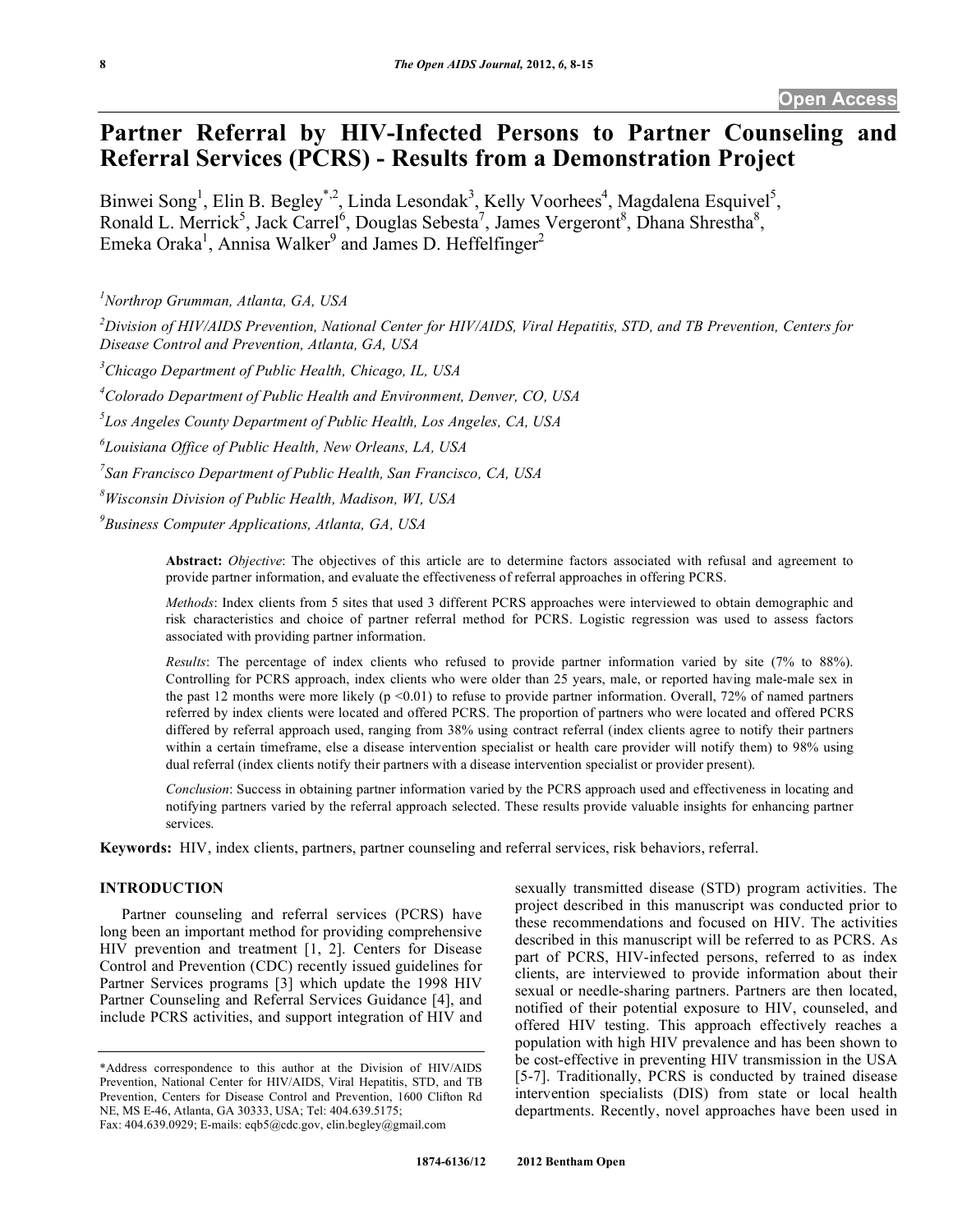# **Partner Referral by HIV-Infected Persons to Partner Counseling and Referral Services (PCRS) - Results from a Demonstration Project**

Binwei Song<sup>1</sup>, Elin B. Begley<sup>\*,2</sup>, Linda Lesondak<sup>3</sup>, Kelly Voorhees<sup>4</sup>, Magdalena Esquivel<sup>5</sup>, Ronald L. Merrick<sup>5</sup>, Jack Carrel<sup>6</sup>, Douglas Sebesta<sup>7</sup>, James Vergeront<sup>8</sup>, Dhana Shrestha<sup>8</sup>, Emeka Oraka<sup>1</sup>, Annisa Walker<sup>9</sup> and James D. Heffelfinger<sup>2</sup>

*1 Northrop Grumman, Atlanta, GA, USA* 

*2 Division of HIV/AIDS Prevention, National Center for HIV/AIDS, Viral Hepatitis, STD, and TB Prevention, Centers for Disease Control and Prevention, Atlanta, GA, USA* 

*3 Chicago Department of Public Health, Chicago, IL, USA* 

*4 Colorado Department of Public Health and Environment, Denver, CO, USA* 

*5 Los Angeles County Department of Public Health, Los Angeles, CA, USA* 

*6 Louisiana Office of Public Health, New Orleans, LA, USA* 

*7 San Francisco Department of Public Health, San Francisco, CA, USA* 

*8 Wisconsin Division of Public Health, Madison, WI, USA* 

*9 Business Computer Applications, Atlanta, GA, USA* 

**Abstract:** *Objective*: The objectives of this article are to determine factors associated with refusal and agreement to provide partner information, and evaluate the effectiveness of referral approaches in offering PCRS.

*Methods*: Index clients from 5 sites that used 3 different PCRS approaches were interviewed to obtain demographic and risk characteristics and choice of partner referral method for PCRS. Logistic regression was used to assess factors associated with providing partner information.

*Results*: The percentage of index clients who refused to provide partner information varied by site (7% to 88%). Controlling for PCRS approach, index clients who were older than 25 years, male, or reported having male-male sex in the past 12 months were more likely ( $p \le 0.01$ ) to refuse to provide partner information. Overall, 72% of named partners referred by index clients were located and offered PCRS. The proportion of partners who were located and offered PCRS differed by referral approach used, ranging from 38% using contract referral (index clients agree to notify their partners within a certain timeframe, else a disease intervention specialist or health care provider will notify them) to 98% using dual referral (index clients notify their partners with a disease intervention specialist or provider present).

*Conclusion*: Success in obtaining partner information varied by the PCRS approach used and effectiveness in locating and notifying partners varied by the referral approach selected. These results provide valuable insights for enhancing partner services.

**Keywords:** HIV, index clients, partners, partner counseling and referral services, risk behaviors, referral.

## **INTRODUCTION**

 Partner counseling and referral services (PCRS) have long been an important method for providing comprehensive HIV prevention and treatment [1, 2]. Centers for Disease Control and Prevention (CDC) recently issued guidelines for Partner Services programs [3] which update the 1998 HIV Partner Counseling and Referral Services Guidance [4], and include PCRS activities, and support integration of HIV and

sexually transmitted disease (STD) program activities. The project described in this manuscript was conducted prior to these recommendations and focused on HIV. The activities described in this manuscript will be referred to as PCRS. As part of PCRS, HIV-infected persons, referred to as index clients, are interviewed to provide information about their sexual or needle-sharing partners. Partners are then located, notified of their potential exposure to HIV, counseled, and offered HIV testing. This approach effectively reaches a population with high HIV prevalence and has been shown to be cost-effective in preventing HIV transmission in the USA [5-7]. Traditionally, PCRS is conducted by trained disease intervention specialists (DIS) from state or local health departments. Recently, novel approaches have been used in

<sup>\*</sup>Address correspondence to this author at the Division of HIV/AIDS Prevention, National Center for HIV/AIDS, Viral Hepatitis, STD, and TB Prevention, Centers for Disease Control and Prevention, 1600 Clifton Rd NE, MS E-46, Atlanta, GA 30333, USA; Tel: 404.639.5175; Fax: 404.639.0929; E-mails: eqb5@cdc.gov, elin.begley@gmail.com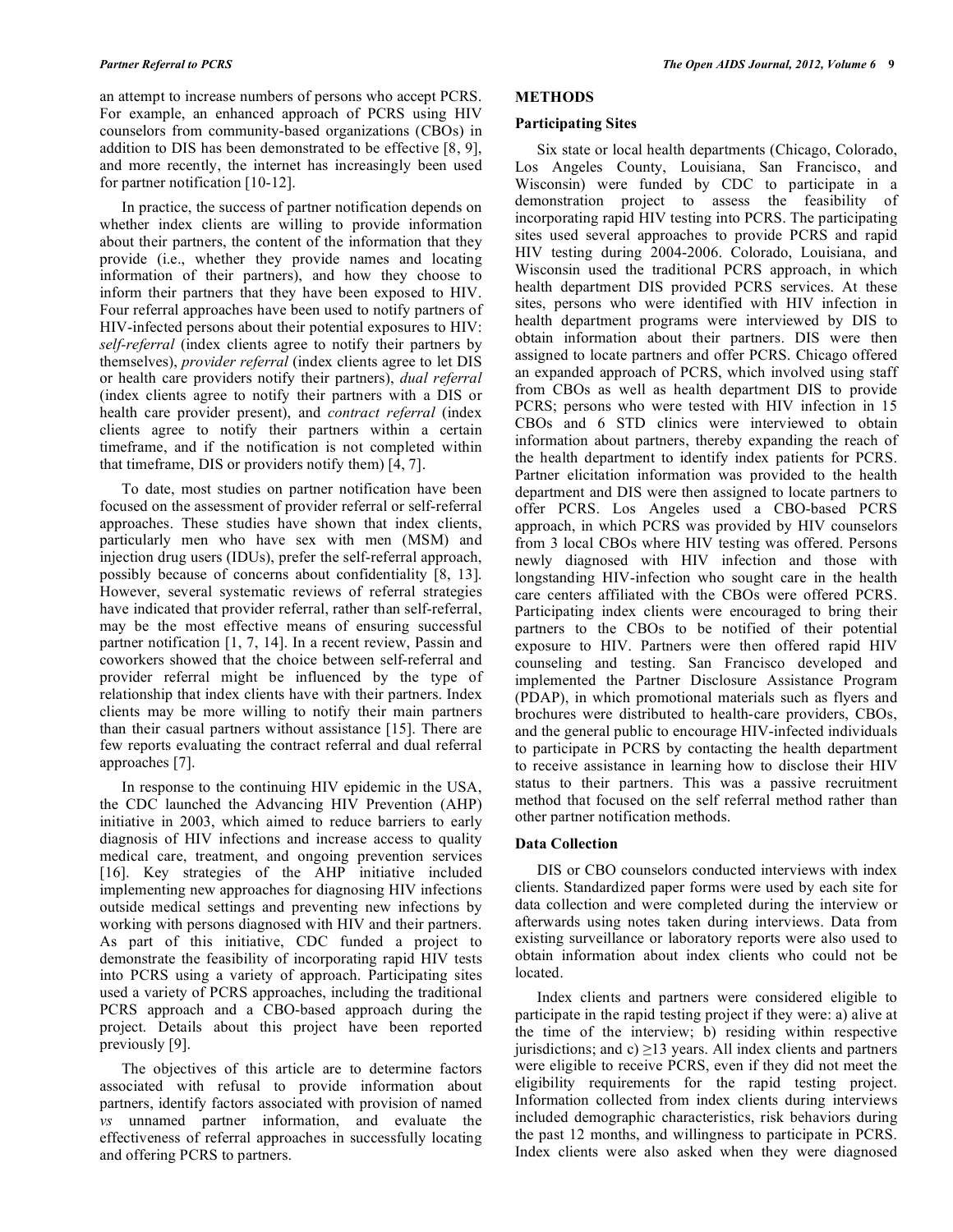an attempt to increase numbers of persons who accept PCRS. For example, an enhanced approach of PCRS using HIV counselors from community-based organizations (CBOs) in addition to DIS has been demonstrated to be effective [8, 9], and more recently, the internet has increasingly been used for partner notification [10-12].

 In practice, the success of partner notification depends on whether index clients are willing to provide information about their partners, the content of the information that they provide (i.e., whether they provide names and locating information of their partners), and how they choose to inform their partners that they have been exposed to HIV. Four referral approaches have been used to notify partners of HIV-infected persons about their potential exposures to HIV: *self-referral* (index clients agree to notify their partners by themselves), *provider referral* (index clients agree to let DIS or health care providers notify their partners), *dual referral*  (index clients agree to notify their partners with a DIS or health care provider present), and *contract referral* (index clients agree to notify their partners within a certain timeframe, and if the notification is not completed within that timeframe, DIS or providers notify them) [4, 7].

 To date, most studies on partner notification have been focused on the assessment of provider referral or self-referral approaches. These studies have shown that index clients, particularly men who have sex with men (MSM) and injection drug users (IDUs), prefer the self-referral approach, possibly because of concerns about confidentiality [8, 13]. However, several systematic reviews of referral strategies have indicated that provider referral, rather than self-referral, may be the most effective means of ensuring successful partner notification [1, 7, 14]. In a recent review, Passin and coworkers showed that the choice between self-referral and provider referral might be influenced by the type of relationship that index clients have with their partners. Index clients may be more willing to notify their main partners than their casual partners without assistance [15]. There are few reports evaluating the contract referral and dual referral approaches [7].

 In response to the continuing HIV epidemic in the USA, the CDC launched the Advancing HIV Prevention (AHP) initiative in 2003, which aimed to reduce barriers to early diagnosis of HIV infections and increase access to quality medical care, treatment, and ongoing prevention services [16]. Key strategies of the AHP initiative included implementing new approaches for diagnosing HIV infections outside medical settings and preventing new infections by working with persons diagnosed with HIV and their partners. As part of this initiative, CDC funded a project to demonstrate the feasibility of incorporating rapid HIV tests into PCRS using a variety of approach. Participating sites used a variety of PCRS approaches, including the traditional PCRS approach and a CBO-based approach during the project. Details about this project have been reported previously [9].

 The objectives of this article are to determine factors associated with refusal to provide information about partners, identify factors associated with provision of named *vs* unnamed partner information, and evaluate the effectiveness of referral approaches in successfully locating and offering PCRS to partners.

## **METHODS**

#### **Participating Sites**

 Six state or local health departments (Chicago, Colorado, Los Angeles County, Louisiana, San Francisco, and Wisconsin) were funded by CDC to participate in a demonstration project to assess the feasibility of incorporating rapid HIV testing into PCRS. The participating sites used several approaches to provide PCRS and rapid HIV testing during 2004-2006. Colorado, Louisiana, and Wisconsin used the traditional PCRS approach, in which health department DIS provided PCRS services. At these sites, persons who were identified with HIV infection in health department programs were interviewed by DIS to obtain information about their partners. DIS were then assigned to locate partners and offer PCRS. Chicago offered an expanded approach of PCRS, which involved using staff from CBOs as well as health department DIS to provide PCRS; persons who were tested with HIV infection in 15 CBOs and 6 STD clinics were interviewed to obtain information about partners, thereby expanding the reach of the health department to identify index patients for PCRS. Partner elicitation information was provided to the health department and DIS were then assigned to locate partners to offer PCRS. Los Angeles used a CBO-based PCRS approach, in which PCRS was provided by HIV counselors from 3 local CBOs where HIV testing was offered. Persons newly diagnosed with HIV infection and those with longstanding HIV-infection who sought care in the health care centers affiliated with the CBOs were offered PCRS. Participating index clients were encouraged to bring their partners to the CBOs to be notified of their potential exposure to HIV. Partners were then offered rapid HIV counseling and testing. San Francisco developed and implemented the Partner Disclosure Assistance Program (PDAP), in which promotional materials such as flyers and brochures were distributed to health-care providers, CBOs, and the general public to encourage HIV-infected individuals to participate in PCRS by contacting the health department to receive assistance in learning how to disclose their HIV status to their partners. This was a passive recruitment method that focused on the self referral method rather than other partner notification methods.

## **Data Collection**

 DIS or CBO counselors conducted interviews with index clients. Standardized paper forms were used by each site for data collection and were completed during the interview or afterwards using notes taken during interviews. Data from existing surveillance or laboratory reports were also used to obtain information about index clients who could not be located.

 Index clients and partners were considered eligible to participate in the rapid testing project if they were: a) alive at the time of the interview; b) residing within respective jurisdictions; and c)  $\geq$  13 years. All index clients and partners were eligible to receive PCRS, even if they did not meet the eligibility requirements for the rapid testing project. Information collected from index clients during interviews included demographic characteristics, risk behaviors during the past 12 months, and willingness to participate in PCRS. Index clients were also asked when they were diagnosed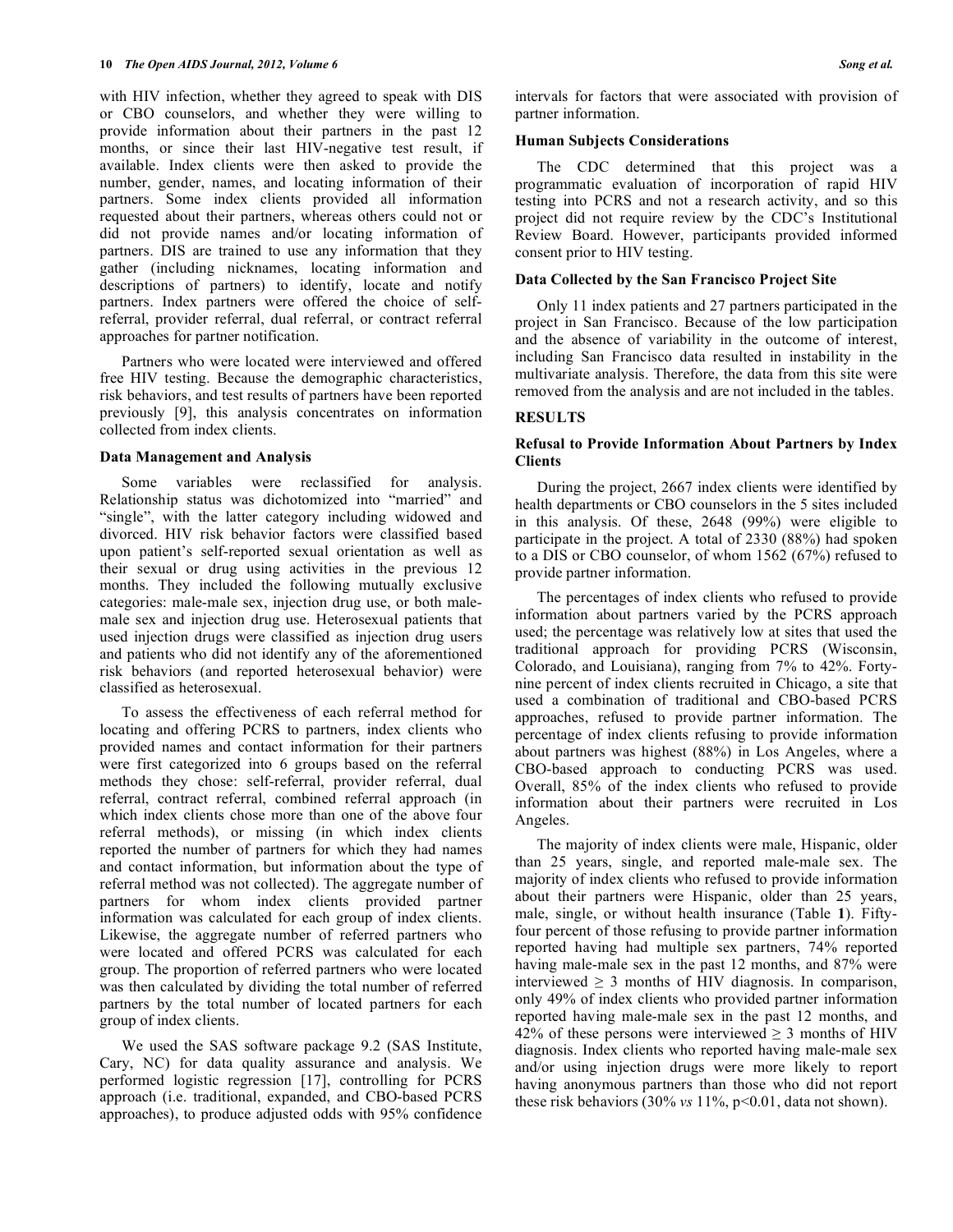with HIV infection, whether they agreed to speak with DIS or CBO counselors, and whether they were willing to provide information about their partners in the past 12 months, or since their last HIV-negative test result, if available. Index clients were then asked to provide the number, gender, names, and locating information of their partners. Some index clients provided all information requested about their partners, whereas others could not or did not provide names and/or locating information of partners. DIS are trained to use any information that they gather (including nicknames, locating information and descriptions of partners) to identify, locate and notify partners. Index partners were offered the choice of selfreferral, provider referral, dual referral, or contract referral approaches for partner notification.

 Partners who were located were interviewed and offered free HIV testing. Because the demographic characteristics, risk behaviors, and test results of partners have been reported previously [9], this analysis concentrates on information collected from index clients.

## **Data Management and Analysis**

 Some variables were reclassified for analysis. Relationship status was dichotomized into "married" and "single", with the latter category including widowed and divorced. HIV risk behavior factors were classified based upon patient's self-reported sexual orientation as well as their sexual or drug using activities in the previous 12 months. They included the following mutually exclusive categories: male-male sex, injection drug use, or both malemale sex and injection drug use. Heterosexual patients that used injection drugs were classified as injection drug users and patients who did not identify any of the aforementioned risk behaviors (and reported heterosexual behavior) were classified as heterosexual.

 To assess the effectiveness of each referral method for locating and offering PCRS to partners, index clients who provided names and contact information for their partners were first categorized into 6 groups based on the referral methods they chose: self-referral, provider referral, dual referral, contract referral, combined referral approach (in which index clients chose more than one of the above four referral methods), or missing (in which index clients reported the number of partners for which they had names and contact information, but information about the type of referral method was not collected). The aggregate number of partners for whom index clients provided partner information was calculated for each group of index clients. Likewise, the aggregate number of referred partners who were located and offered PCRS was calculated for each group. The proportion of referred partners who were located was then calculated by dividing the total number of referred partners by the total number of located partners for each group of index clients.

 We used the SAS software package 9.2 (SAS Institute, Cary, NC) for data quality assurance and analysis. We performed logistic regression [17], controlling for PCRS approach (i.e. traditional, expanded, and CBO-based PCRS approaches), to produce adjusted odds with 95% confidence

intervals for factors that were associated with provision of partner information.

#### **Human Subjects Considerations**

 The CDC determined that this project was a programmatic evaluation of incorporation of rapid HIV testing into PCRS and not a research activity, and so this project did not require review by the CDC's Institutional Review Board. However, participants provided informed consent prior to HIV testing.

## **Data Collected by the San Francisco Project Site**

 Only 11 index patients and 27 partners participated in the project in San Francisco. Because of the low participation and the absence of variability in the outcome of interest, including San Francisco data resulted in instability in the multivariate analysis. Therefore, the data from this site were removed from the analysis and are not included in the tables.

## **RESULTS**

## **Refusal to Provide Information About Partners by Index Clients**

 During the project, 2667 index clients were identified by health departments or CBO counselors in the 5 sites included in this analysis. Of these, 2648 (99%) were eligible to participate in the project. A total of 2330 (88%) had spoken to a DIS or CBO counselor, of whom 1562 (67%) refused to provide partner information.

 The percentages of index clients who refused to provide information about partners varied by the PCRS approach used; the percentage was relatively low at sites that used the traditional approach for providing PCRS (Wisconsin, Colorado, and Louisiana), ranging from 7% to 42%. Fortynine percent of index clients recruited in Chicago, a site that used a combination of traditional and CBO-based PCRS approaches, refused to provide partner information. The percentage of index clients refusing to provide information about partners was highest (88%) in Los Angeles, where a CBO-based approach to conducting PCRS was used. Overall, 85% of the index clients who refused to provide information about their partners were recruited in Los Angeles.

 The majority of index clients were male, Hispanic, older than 25 years, single, and reported male-male sex. The majority of index clients who refused to provide information about their partners were Hispanic, older than 25 years, male, single, or without health insurance (Table **1**). Fiftyfour percent of those refusing to provide partner information reported having had multiple sex partners, 74% reported having male-male sex in the past 12 months, and 87% were interviewed  $\geq$  3 months of HIV diagnosis. In comparison, only 49% of index clients who provided partner information reported having male-male sex in the past 12 months, and 42% of these persons were interviewed  $\geq$  3 months of HIV diagnosis. Index clients who reported having male-male sex and/or using injection drugs were more likely to report having anonymous partners than those who did not report these risk behaviors (30% *vs* 11%, p<0.01, data not shown).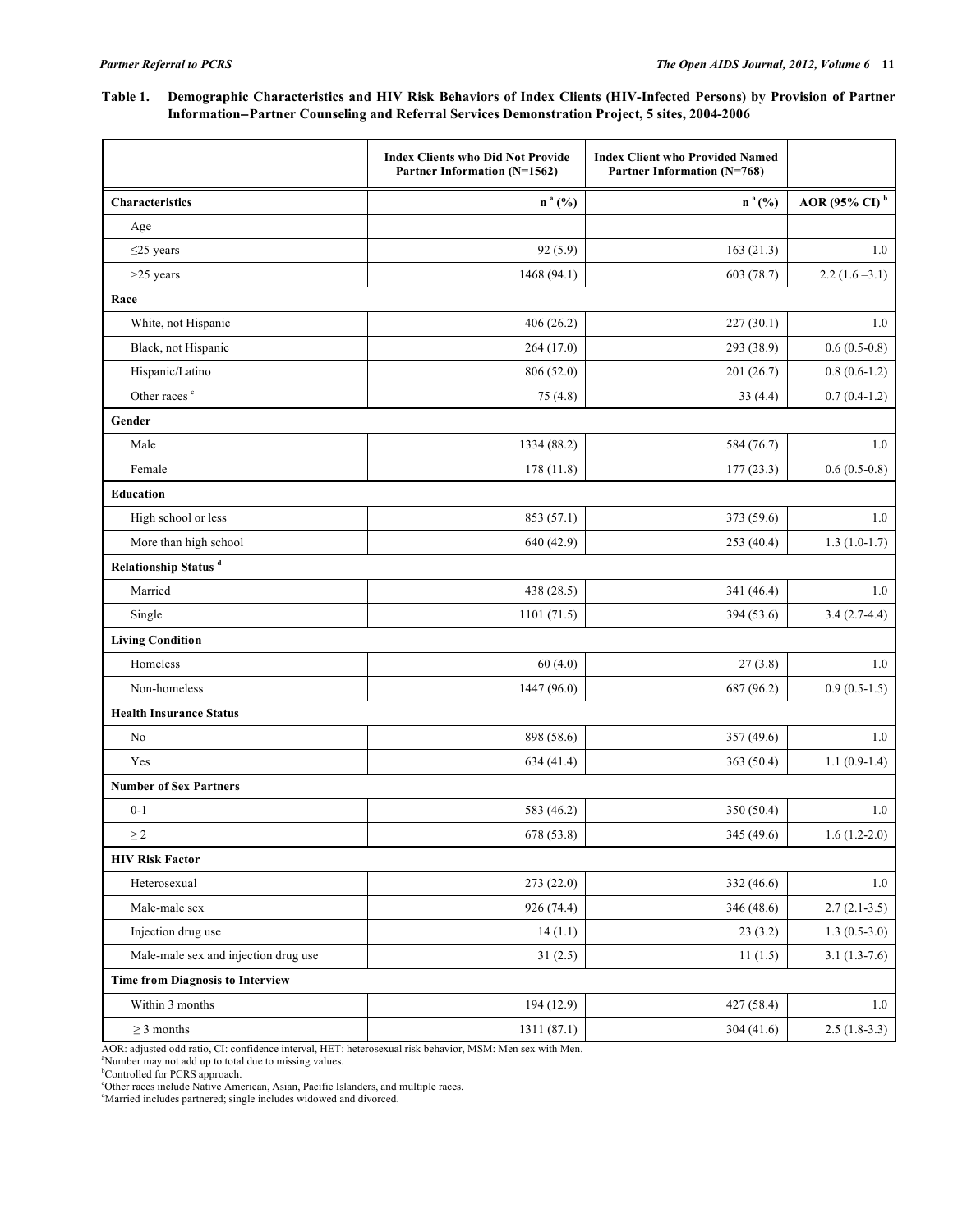# **Table 1. Demographic Characteristics and HIV Risk Behaviors of Index Clients (HIV-Infected Persons) by Provision of Partner InformationPartner Counseling and Referral Services Demonstration Project, 5 sites, 2004-2006**

|                                         | <b>Index Clients who Did Not Provide</b><br>Partner Information (N=1562) | <b>Index Client who Provided Named</b><br>Partner Information (N=768) |                           |
|-----------------------------------------|--------------------------------------------------------------------------|-----------------------------------------------------------------------|---------------------------|
| <b>Characteristics</b>                  | $n^a$ (%)                                                                | $n^a$ (%)                                                             | AOR (95% CI) <sup>b</sup> |
| Age                                     |                                                                          |                                                                       |                           |
| $\leq$ 25 years                         | 92(5.9)                                                                  | 163(21.3)                                                             | 1.0                       |
| $>25$ years                             | 1468 (94.1)                                                              | 603 (78.7)                                                            | $2.2(1.6-3.1)$            |
| Race                                    |                                                                          |                                                                       |                           |
| White, not Hispanic                     | 406(26.2)                                                                | 227(30.1)                                                             | 1.0                       |
| Black, not Hispanic                     | 264(17.0)                                                                | 293 (38.9)                                                            | $0.6(0.5-0.8)$            |
| Hispanic/Latino                         | 806 (52.0)                                                               | 201(26.7)                                                             | $0.8(0.6-1.2)$            |
| Other races <sup>c</sup>                | 75 (4.8)                                                                 | 33(4.4)                                                               | $0.7(0.4-1.2)$            |
| Gender                                  |                                                                          |                                                                       |                           |
| Male                                    | 1334 (88.2)                                                              | 584 (76.7)                                                            | 1.0                       |
| Female                                  | 178 (11.8)                                                               | 177(23.3)                                                             | $0.6(0.5-0.8)$            |
| <b>Education</b>                        |                                                                          |                                                                       |                           |
| High school or less                     | 853 (57.1)                                                               | 373 (59.6)                                                            | 1.0                       |
| More than high school                   | 640 (42.9)                                                               | 253(40.4)                                                             | $1.3(1.0-1.7)$            |
| Relationship Status <sup>d</sup>        |                                                                          |                                                                       |                           |
| Married                                 | 438 (28.5)                                                               | 341 (46.4)                                                            | 1.0                       |
| Single                                  | 1101(71.5)                                                               | 394 (53.6)                                                            | $3.4(2.7-4.4)$            |
| <b>Living Condition</b>                 |                                                                          |                                                                       |                           |
| Homeless                                | 60(4.0)                                                                  | 27(3.8)                                                               | 1.0                       |
| Non-homeless                            | 1447 (96.0)                                                              | 687 (96.2)                                                            | $0.9(0.5-1.5)$            |
| <b>Health Insurance Status</b>          |                                                                          |                                                                       |                           |
| No                                      | 898 (58.6)                                                               | 357 (49.6)                                                            | 1.0                       |
| Yes                                     | 634 (41.4)                                                               | 363 (50.4)                                                            | $1.1(0.9-1.4)$            |
| <b>Number of Sex Partners</b>           |                                                                          |                                                                       |                           |
| $0 - 1$                                 | 583 (46.2)                                                               | 350 (50.4)                                                            | 1.0                       |
| $\geq\!2$                               | 678 (53.8)                                                               | 345 (49.6)                                                            | $1.6(1.2-2.0)$            |
| <b>HIV Risk Factor</b>                  |                                                                          |                                                                       |                           |
| Heterosexual                            | 273 (22.0)                                                               | 332 (46.6)                                                            | $1.0\,$                   |
| Male-male sex                           | 926 (74.4)                                                               | 346 (48.6)                                                            | $2.7(2.1-3.5)$            |
| Injection drug use                      | 14(1.1)                                                                  | 23(3.2)                                                               | $1.3(0.5-3.0)$            |
| Male-male sex and injection drug use    | 31(2.5)                                                                  | 11(1.5)                                                               | $3.1(1.3-7.6)$            |
| <b>Time from Diagnosis to Interview</b> |                                                                          |                                                                       |                           |
| Within 3 months                         | 194 (12.9)                                                               | 427(58.4)                                                             | 1.0                       |
| $\geq$ 3 months                         | 1311 (87.1)                                                              | 304(41.6)                                                             | $2.5(1.8-3.3)$            |

AOR: adjusted odd ratio, CI: confidence interval, HET: heterosexual risk behavior, MSM: Men sex with Men.

<sup>a</sup>Number may not add up to total due to missing values.<br><sup>b</sup>Controlled for PCRS approach.

c Other races include Native American, Asian, Pacific Islanders, and multiple races.

d Married includes partnered; single includes widowed and divorced.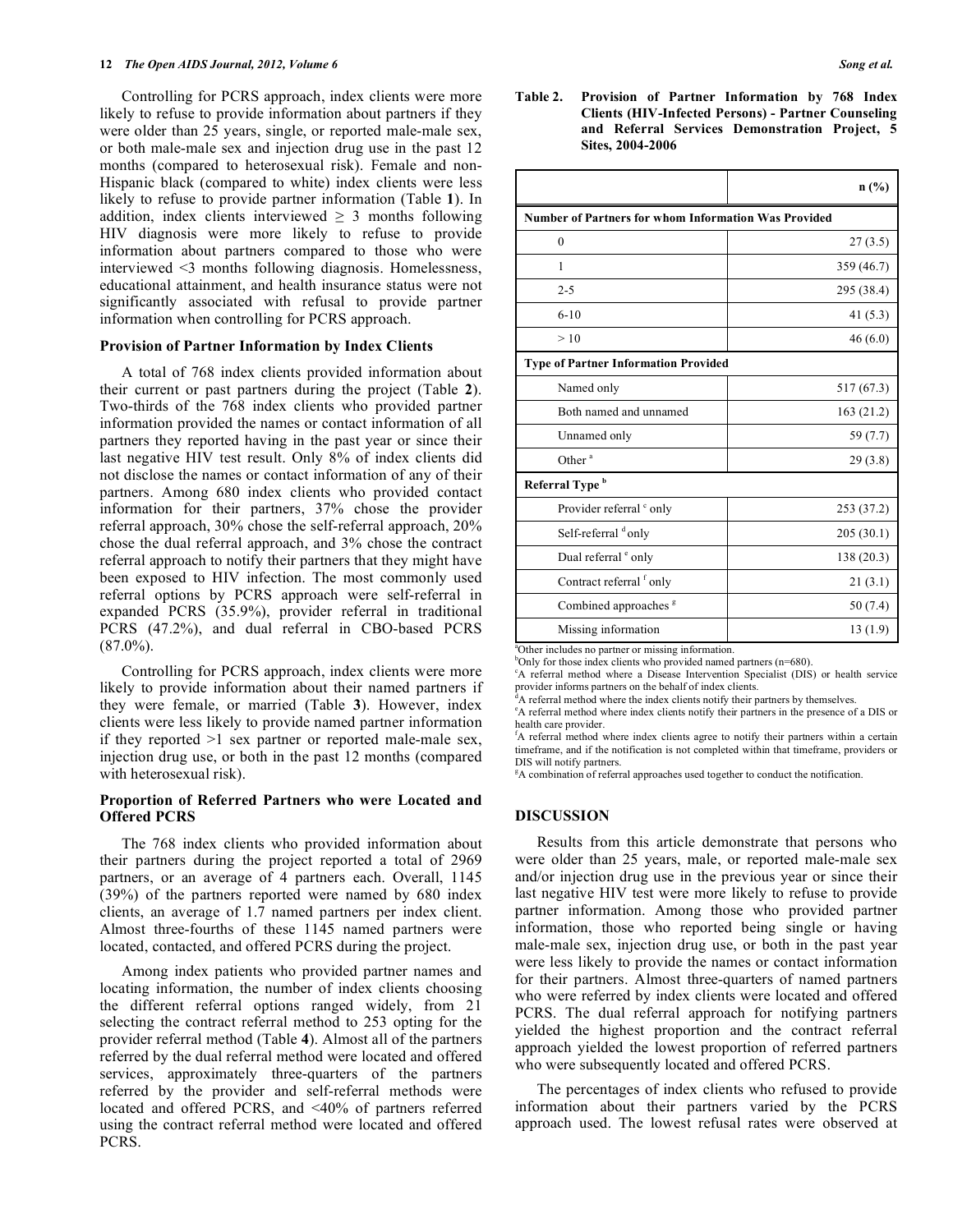Controlling for PCRS approach, index clients were more likely to refuse to provide information about partners if they were older than 25 years, single, or reported male-male sex, or both male-male sex and injection drug use in the past 12 months (compared to heterosexual risk). Female and non-Hispanic black (compared to white) index clients were less likely to refuse to provide partner information (Table **1**). In addition, index clients interviewed  $\geq$  3 months following HIV diagnosis were more likely to refuse to provide information about partners compared to those who were interviewed <3 months following diagnosis. Homelessness, educational attainment, and health insurance status were not significantly associated with refusal to provide partner information when controlling for PCRS approach.

#### **Provision of Partner Information by Index Clients**

 A total of 768 index clients provided information about their current or past partners during the project (Table **2**). Two-thirds of the 768 index clients who provided partner information provided the names or contact information of all partners they reported having in the past year or since their last negative HIV test result. Only 8% of index clients did not disclose the names or contact information of any of their partners. Among 680 index clients who provided contact information for their partners, 37% chose the provider referral approach, 30% chose the self-referral approach, 20% chose the dual referral approach, and 3% chose the contract referral approach to notify their partners that they might have been exposed to HIV infection. The most commonly used referral options by PCRS approach were self-referral in expanded PCRS (35.9%), provider referral in traditional PCRS (47.2%), and dual referral in CBO-based PCRS  $(87.0\%)$ .

 Controlling for PCRS approach, index clients were more likely to provide information about their named partners if they were female, or married (Table **3**). However, index clients were less likely to provide named partner information if they reported  $>1$  sex partner or reported male-male sex, injection drug use, or both in the past 12 months (compared with heterosexual risk).

## **Proportion of Referred Partners who were Located and Offered PCRS**

 The 768 index clients who provided information about their partners during the project reported a total of 2969 partners, or an average of 4 partners each. Overall, 1145 (39%) of the partners reported were named by 680 index clients, an average of 1.7 named partners per index client. Almost three-fourths of these 1145 named partners were located, contacted, and offered PCRS during the project.

 Among index patients who provided partner names and locating information, the number of index clients choosing the different referral options ranged widely, from 21 selecting the contract referral method to 253 opting for the provider referral method (Table **4**). Almost all of the partners referred by the dual referral method were located and offered services, approximately three-quarters of the partners referred by the provider and self-referral methods were located and offered PCRS, and <40% of partners referred using the contract referral method were located and offered PCRS.

**Table 2. Provision of Partner Information by 768 Index Clients (HIV-Infected Persons) - Partner Counseling and Referral Services Demonstration Project, 5 Sites, 2004-2006** 

|                                                             | n(%)       |  |  |  |
|-------------------------------------------------------------|------------|--|--|--|
| <b>Number of Partners for whom Information Was Provided</b> |            |  |  |  |
| $\mathbf{0}$                                                | 27(3.5)    |  |  |  |
| 1                                                           | 359 (46.7) |  |  |  |
| $2 - 5$                                                     | 295 (38.4) |  |  |  |
| $6 - 10$                                                    | 41 $(5.3)$ |  |  |  |
| >10                                                         | 46(6.0)    |  |  |  |
| <b>Type of Partner Information Provided</b>                 |            |  |  |  |
| Named only                                                  | 517 (67.3) |  |  |  |
| Both named and unnamed                                      | 163(21.2)  |  |  |  |
| Unnamed only                                                | 59 (7.7)   |  |  |  |
| Other <sup>a</sup>                                          | 29(3.8)    |  |  |  |
| Referral Type <sup>b</sup>                                  |            |  |  |  |
| Provider referral ° only                                    | 253 (37.2) |  |  |  |
| Self-referral donly                                         | 205(30.1)  |  |  |  |
| Dual referral <sup>e</sup> only                             | 138 (20.3) |  |  |  |
| Contract referral f only                                    | 21(3.1)    |  |  |  |
| Combined approaches <sup>g</sup>                            | 50 (7.4)   |  |  |  |
| Missing information                                         | 13(1.9)    |  |  |  |

a Other includes no partner or missing information.

<sup>b</sup>Only for those index clients who provided named partners (n=680).

c A referral method where a Disease Intervention Specialist (DIS) or health service provider informs partners on the behalf of index clients.

<sup>d</sup>A referral method where the index clients notify their partners by themselves.

e A referral method where index clients notify their partners in the presence of a DIS or health care provider.

<sup>f</sup>A referral method where index clients agree to notify their partners within a certain timeframe, and if the notification is not completed within that timeframe, providers or DIS will notify partners.

<sup>8</sup>A combination of referral approaches used together to conduct the notification.

#### **DISCUSSION**

 Results from this article demonstrate that persons who were older than 25 years, male, or reported male-male sex and/or injection drug use in the previous year or since their last negative HIV test were more likely to refuse to provide partner information. Among those who provided partner information, those who reported being single or having male-male sex, injection drug use, or both in the past year were less likely to provide the names or contact information for their partners. Almost three-quarters of named partners who were referred by index clients were located and offered PCRS. The dual referral approach for notifying partners yielded the highest proportion and the contract referral approach yielded the lowest proportion of referred partners who were subsequently located and offered PCRS.

 The percentages of index clients who refused to provide information about their partners varied by the PCRS approach used. The lowest refusal rates were observed at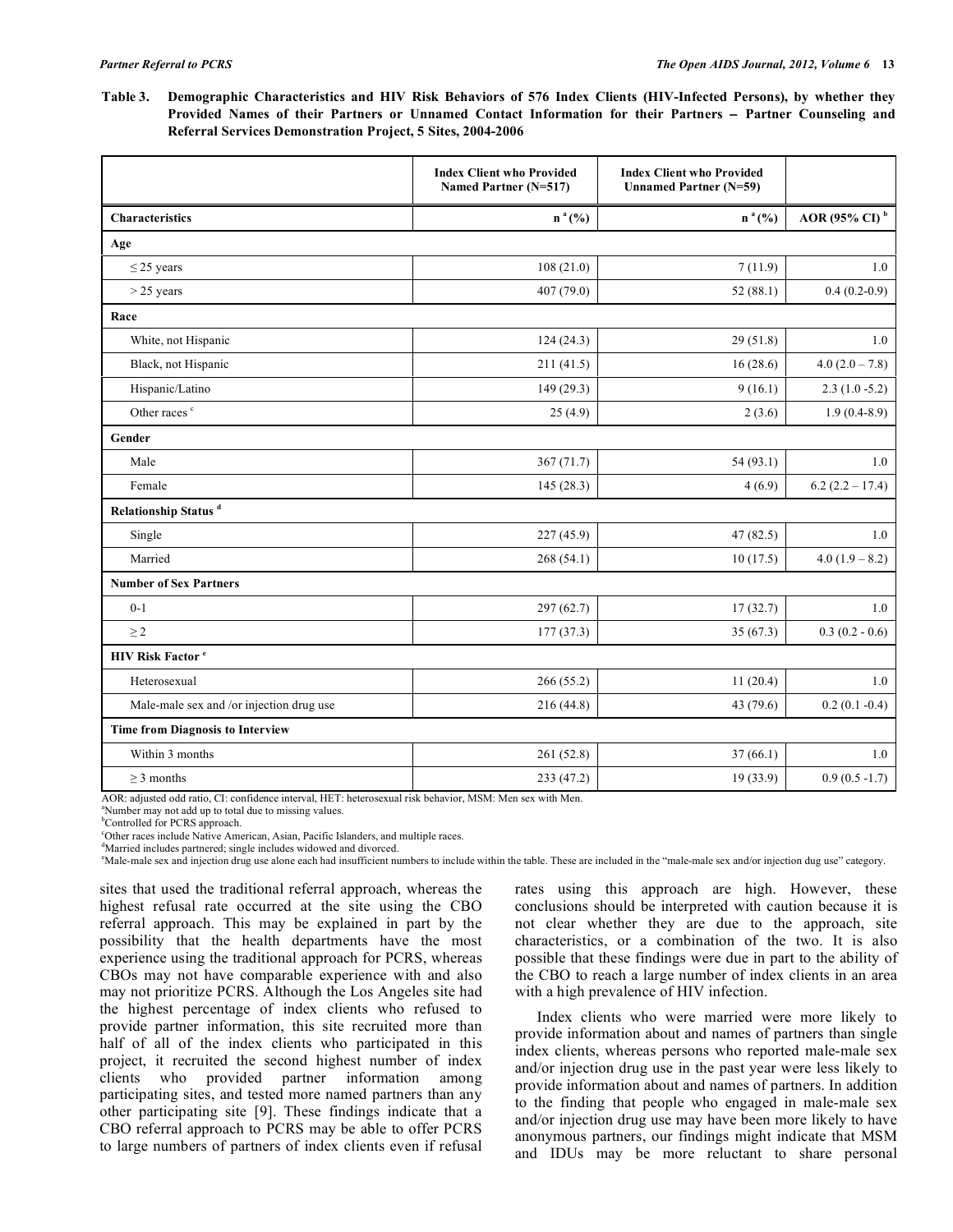| Table 3. Demographic Characteristics and HIV Risk Behaviors of 576 Index Clients (HIV-Infected Persons), by whether they |
|--------------------------------------------------------------------------------------------------------------------------|
| Provided Names of their Partners or Unnamed Contact Information for their Partners – Partner Counseling and              |
| <b>Referral Services Demonstration Project, 5 Sites, 2004-2006</b>                                                       |

|                                          | <b>Index Client who Provided</b><br>Named Partner (N=517) | <b>Index Client who Provided</b><br><b>Unnamed Partner (N=59)</b> |                           |  |  |  |
|------------------------------------------|-----------------------------------------------------------|-------------------------------------------------------------------|---------------------------|--|--|--|
| Characteristics                          | $n^{a}$ (%)                                               | $n^{a}$ (%)                                                       | AOR (95% CI) <sup>b</sup> |  |  |  |
| Age                                      |                                                           |                                                                   |                           |  |  |  |
| $\leq$ 25 years                          | 108(21.0)                                                 | 7(11.9)                                                           | 1.0                       |  |  |  |
| $>$ 25 years                             | 407 (79.0)                                                | 52(88.1)                                                          | $0.4(0.2-0.9)$            |  |  |  |
| Race                                     |                                                           |                                                                   |                           |  |  |  |
| White, not Hispanic                      | 124(24.3)                                                 | 29(51.8)                                                          | 1.0                       |  |  |  |
| Black, not Hispanic                      | 211(41.5)                                                 | 16(28.6)                                                          | $4.0(2.0 - 7.8)$          |  |  |  |
| Hispanic/Latino                          | 149(29.3)                                                 | 9(16.1)                                                           | $2.3(1.0 - 5.2)$          |  |  |  |
| Other races <sup>c</sup>                 | 25(4.9)                                                   | 2(3.6)                                                            | $1.9(0.4-8.9)$            |  |  |  |
| Gender                                   |                                                           |                                                                   |                           |  |  |  |
| Male                                     | 367(71.7)                                                 | 54(93.1)                                                          | 1.0                       |  |  |  |
| Female                                   | 145 (28.3)                                                | 4(6.9)                                                            | $6.2(2.2 - 17.4)$         |  |  |  |
| Relationship Status <sup>d</sup>         |                                                           |                                                                   |                           |  |  |  |
| Single                                   | 227 (45.9)                                                | 47(82.5)                                                          | 1.0                       |  |  |  |
| Married                                  | 268 (54.1)                                                | 10(17.5)                                                          | $4.0(1.9 - 8.2)$          |  |  |  |
| <b>Number of Sex Partners</b>            |                                                           |                                                                   |                           |  |  |  |
| $0 - 1$                                  | 297 (62.7)                                                | 17(32.7)                                                          | 1.0                       |  |  |  |
| $\geq$ 2                                 | 177(37.3)                                                 | 35(67.3)                                                          | $0.3(0.2 - 0.6)$          |  |  |  |
| <b>HIV Risk Factor</b> <sup>e</sup>      |                                                           |                                                                   |                           |  |  |  |
| Heterosexual                             | 266(55.2)                                                 | 11(20.4)                                                          | 1.0                       |  |  |  |
| Male-male sex and /or injection drug use | 216 (44.8)                                                | 43 (79.6)                                                         | $0.2(0.1 - 0.4)$          |  |  |  |
| <b>Time from Diagnosis to Interview</b>  |                                                           |                                                                   |                           |  |  |  |
| Within 3 months                          | 261 (52.8)                                                | 37(66.1)                                                          | 1.0                       |  |  |  |
| $\geq$ 3 months                          | 233 (47.2)                                                | 19 (33.9)                                                         | $0.9(0.5 - 1.7)$          |  |  |  |

AOR: adjusted odd ratio, CI: confidence interval, HET: heterosexual risk behavior, MSM: Men sex with Men.

a Number may not add up to total due to missing values.

b Controlled for PCRS approach.

c Other races include Native American, Asian, Pacific Islanders, and multiple races.

d Married includes partnered; single includes widowed and divorced.

e Male-male sex and injection drug use alone each had insufficient numbers to include within the table. These are included in the "male-male sex and/or injection dug use" category.

sites that used the traditional referral approach, whereas the highest refusal rate occurred at the site using the CBO referral approach. This may be explained in part by the possibility that the health departments have the most experience using the traditional approach for PCRS, whereas CBOs may not have comparable experience with and also may not prioritize PCRS. Although the Los Angeles site had the highest percentage of index clients who refused to provide partner information, this site recruited more than half of all of the index clients who participated in this project, it recruited the second highest number of index clients who provided partner information among participating sites, and tested more named partners than any other participating site [9]. These findings indicate that a CBO referral approach to PCRS may be able to offer PCRS to large numbers of partners of index clients even if refusal

rates using this approach are high. However, these conclusions should be interpreted with caution because it is not clear whether they are due to the approach, site characteristics, or a combination of the two. It is also possible that these findings were due in part to the ability of the CBO to reach a large number of index clients in an area with a high prevalence of HIV infection.

 Index clients who were married were more likely to provide information about and names of partners than single index clients, whereas persons who reported male-male sex and/or injection drug use in the past year were less likely to provide information about and names of partners. In addition to the finding that people who engaged in male-male sex and/or injection drug use may have been more likely to have anonymous partners, our findings might indicate that MSM and IDUs may be more reluctant to share personal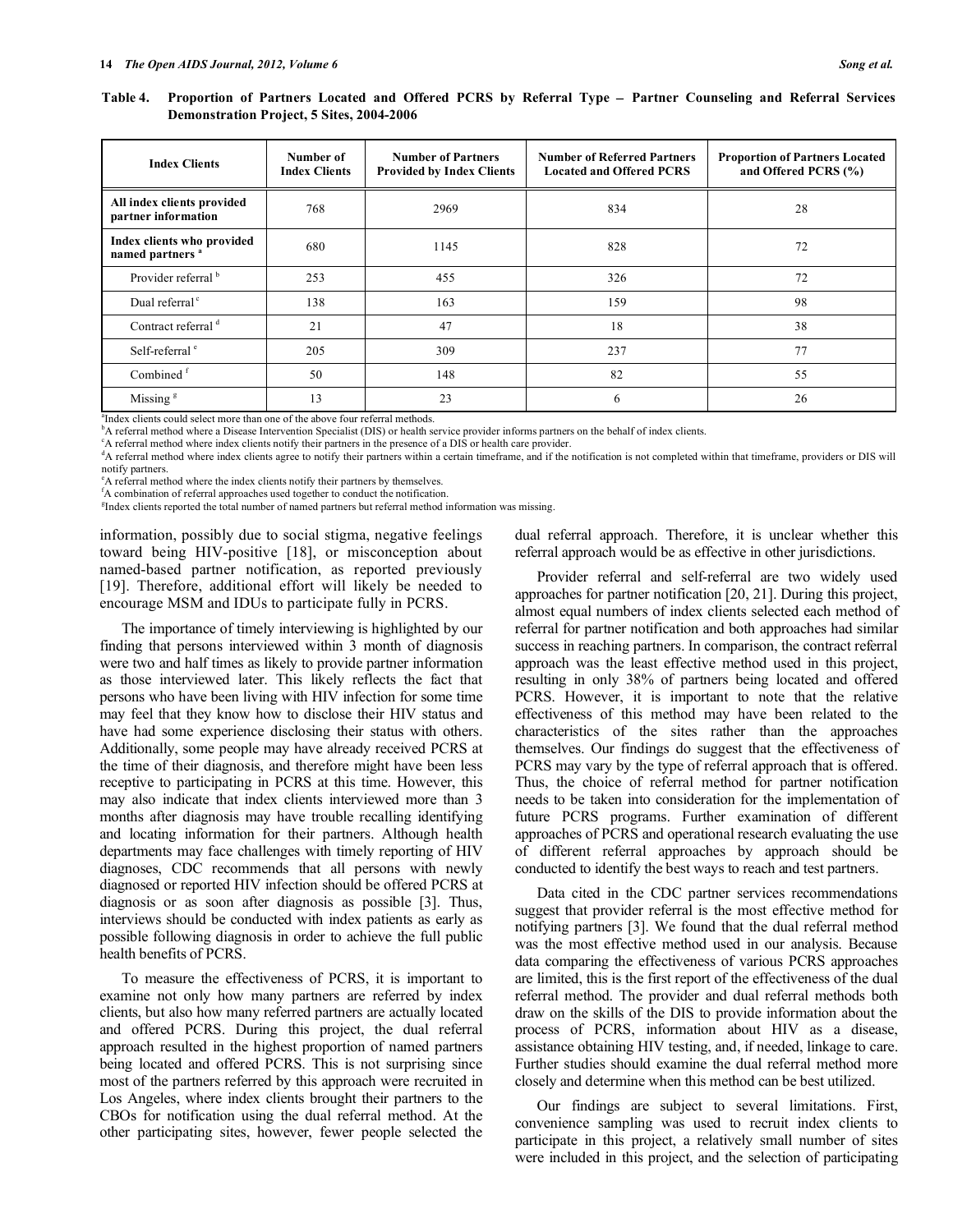Table 4. Proportion of Partners Located and Offered PCRS by Referral Type - Partner Counseling and Referral Services **Demonstration Project, 5 Sites, 2004-2006** 

| <b>Index Clients</b>                                      | Number of<br><b>Index Clients</b> | <b>Number of Partners</b><br><b>Provided by Index Clients</b> | <b>Number of Referred Partners</b><br><b>Located and Offered PCRS</b> | <b>Proportion of Partners Located</b><br>and Offered PCRS (%) |
|-----------------------------------------------------------|-----------------------------------|---------------------------------------------------------------|-----------------------------------------------------------------------|---------------------------------------------------------------|
| All index clients provided<br>partner information         | 768                               | 2969                                                          | 834                                                                   | 28                                                            |
| Index clients who provided<br>named partners <sup>a</sup> | 680                               | 1145                                                          | 828                                                                   | 72                                                            |
| Provider referral <sup>b</sup>                            | 253                               | 455                                                           | 326                                                                   | 72                                                            |
| Dual referral <sup>c</sup>                                | 138                               | 163                                                           | 159                                                                   | 98                                                            |
| Contract referral d                                       | 21                                | 47                                                            | 18                                                                    | 38                                                            |
| Self-referral <sup>e</sup>                                | 205                               | 309                                                           | 237                                                                   | 77                                                            |
| Combined <sup>f</sup>                                     | 50                                | 148                                                           | 82                                                                    | 55                                                            |
| Missing $\frac{8}{3}$                                     | 13                                | 23                                                            | 6                                                                     | 26                                                            |

a Index clients could select more than one of the above four referral methods.

b<sup>h</sup>A referral method where a Disease Intervention Specialist (DIS) or health service provider informs partners on the behalf of index clients.

A referral method where index clients notify their partners in the presence of a DIS or health care provider.

<sup>d</sup>A referral method where index clients agree to notify their partners within a certain timeframe, and if the notification is not completed within that timeframe, providers or DIS will notify partners.

e A referral method where the index clients notify their partners by themselves. f A combination of referral approaches used together to conduct the notification.

<sup>g</sup>Index clients reported the total number of named partners but referral method information was missing.

information, possibly due to social stigma, negative feelings toward being HIV-positive [18], or misconception about named-based partner notification, as reported previously [19]. Therefore, additional effort will likely be needed to encourage MSM and IDUs to participate fully in PCRS.

 The importance of timely interviewing is highlighted by our finding that persons interviewed within 3 month of diagnosis were two and half times as likely to provide partner information as those interviewed later. This likely reflects the fact that persons who have been living with HIV infection for some time may feel that they know how to disclose their HIV status and have had some experience disclosing their status with others. Additionally, some people may have already received PCRS at the time of their diagnosis, and therefore might have been less receptive to participating in PCRS at this time. However, this may also indicate that index clients interviewed more than 3 months after diagnosis may have trouble recalling identifying and locating information for their partners. Although health departments may face challenges with timely reporting of HIV diagnoses, CDC recommends that all persons with newly diagnosed or reported HIV infection should be offered PCRS at diagnosis or as soon after diagnosis as possible [3]. Thus, interviews should be conducted with index patients as early as possible following diagnosis in order to achieve the full public health benefits of PCRS.

 To measure the effectiveness of PCRS, it is important to examine not only how many partners are referred by index clients, but also how many referred partners are actually located and offered PCRS. During this project, the dual referral approach resulted in the highest proportion of named partners being located and offered PCRS. This is not surprising since most of the partners referred by this approach were recruited in Los Angeles, where index clients brought their partners to the CBOs for notification using the dual referral method. At the other participating sites, however, fewer people selected the

dual referral approach. Therefore, it is unclear whether this referral approach would be as effective in other jurisdictions.

 Provider referral and self-referral are two widely used approaches for partner notification [20, 21]. During this project, almost equal numbers of index clients selected each method of referral for partner notification and both approaches had similar success in reaching partners. In comparison, the contract referral approach was the least effective method used in this project, resulting in only 38% of partners being located and offered PCRS. However, it is important to note that the relative effectiveness of this method may have been related to the characteristics of the sites rather than the approaches themselves. Our findings do suggest that the effectiveness of PCRS may vary by the type of referral approach that is offered. Thus, the choice of referral method for partner notification needs to be taken into consideration for the implementation of future PCRS programs. Further examination of different approaches of PCRS and operational research evaluating the use of different referral approaches by approach should be conducted to identify the best ways to reach and test partners.

 Data cited in the CDC partner services recommendations suggest that provider referral is the most effective method for notifying partners [3]. We found that the dual referral method was the most effective method used in our analysis. Because data comparing the effectiveness of various PCRS approaches are limited, this is the first report of the effectiveness of the dual referral method. The provider and dual referral methods both draw on the skills of the DIS to provide information about the process of PCRS, information about HIV as a disease, assistance obtaining HIV testing, and, if needed, linkage to care. Further studies should examine the dual referral method more closely and determine when this method can be best utilized.

 Our findings are subject to several limitations. First, convenience sampling was used to recruit index clients to participate in this project, a relatively small number of sites were included in this project, and the selection of participating